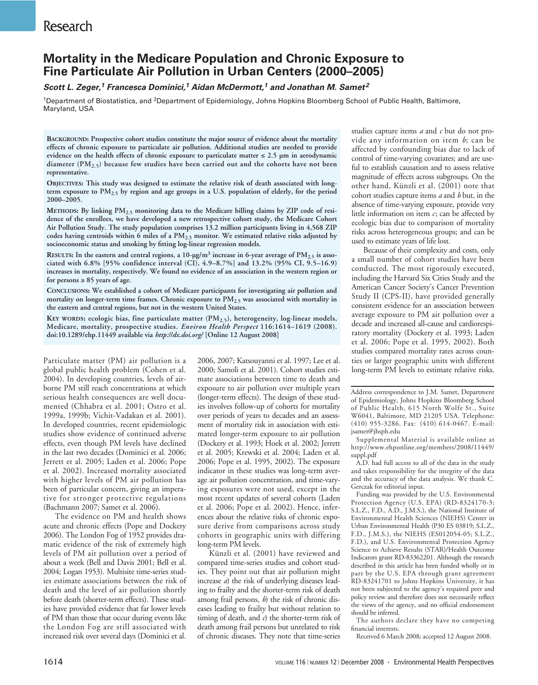# **Mortality in the Medicare Population and Chronic Exposure to Fine Particulate Air Pollution in Urban Centers (2000–2005)**

*Scott L. Zeger,1 Francesca Dominici,1 Aidan McDermott,1 and Jonathan M. Samet<sup>2</sup>*

1Department of Biostatistics, and 2Department of Epidemiology, Johns Hopkins Bloomberg School of Public Health, Baltimore, Maryland, USA

**BACKGROUND: Prospective cohort studies constitute the major source of evidence about the mortality effects of chronic exposure to particulate air pollution. Additional studies are needed to provide evidence on the health effects of chronic exposure to particulate matter** ≤ **2.5 µm in aerodynamic diameter (PM2.5) because few studies have been carried out and the cohorts have not been representative.**

**OBJECTIVES: This study was designed to estimate the relative risk of death associated with longterm exposure to PM2.5 by region and age groups in a U.S. population of elderly, for the period 2000–2005.**

**METHODS: By linking PM2.5 monitoring data to the Medicare billing claims by ZIP code of residence of the enrollees, we have developed a new retrospective cohort study, the Medicare Cohort Air Pollution Study. The study population comprises 13.2 million participants living in 4,568 ZIP codes having centroids within 6 miles of a PM2.5 monitor. We estimated relative risks adjusted by socioeconomic status and smoking by fitting log-linear regression models.**

RESULTS: In the eastern and central regions, a 10-µg/m<sup>3</sup> increase in 6-year average of PM<sub>2.5</sub> is asso**ciated with 6.8% [95% confidence interval (CI), 4.9–8.7%] and 13.2% (95% CI, 9.5–16.9) increases in mortality, respectively. We found no evidence of an association in the western region or for persons** ≥ **85 years of age.**

**CONCLUSIONS: We established a cohort of Medicare participants for investigating air pollution and mortality on longer-term time frames. Chronic exposure to PM2.5 was associated with mortality in the eastern and central regions, but not in the western United States.**

**KEY WORDS: ecologic bias, fine particulate matter (PM2.5), heterogeneity, log-linear models, Medicare, mortality, prospective studies.** *Environ Health Perspect* **116:1614–1619 (2008). doi:10.1289/ehp.11449 available via** *http://dx.doi.org/* **[Online 12 August 2008]**

Particulate matter (PM) air pollution is a global public health problem (Cohen et al. 2004). In developing countries, levels of airborne PM still reach concentrations at which serious health consequences are well documented (Chhabra et al. 2001; Ostro et al. 1999a, 1999b; Vichit-Vadakan et al. 2001). In developed countries, recent epidemiologic studies show evidence of continued adverse effects, even though PM levels have declined in the last two decades (Dominici et al. 2006; Jerrett et al. 2005; Laden et al. 2006; Pope et al. 2002). Increased mortality associated with higher levels of PM air pollution has been of particular concern, giving an imperative for stronger protective regulations (Bachmann 2007; Samet et al. 2006).

The evidence on PM and health shows acute and chronic effects (Pope and Dockery 2006). The London Fog of 1952 provides dramatic evidence of the risk of extremely high levels of PM air pollution over a period of about a week (Bell and Davis 2001; Bell et al. 2004; Logan 1953). Multisite time-series studies estimate associations between the risk of death and the level of air pollution shortly before death (shorter-term effects). These studies have provided evidence that far lower levels of PM than those that occur during events like the London Fog are still associated with increased risk over several days (Dominici et al.

2006, 2007; Katsouyanni et al. 1997; Lee et al. 2000; Samoli et al. 2001). Cohort studies estimate associations between time to death and exposure to air pollution over multiple years (longer-term effects). The design of these studies involves follow-up of cohorts for mortality over periods of years to decades and an assessment of mortality risk in association with estimated longer-term exposure to air pollution (Dockery et al. 1993; Hoek et al. 2002; Jerrett et al. 2005; Krewski et al. 2004; Laden et al. 2006; Pope et al. 1995, 2002). The exposure indicator in these studies was long-term average air pollution concentration, and time-varying exposures were not used, except in the most recent updates of several cohorts (Laden et al. 2006; Pope et al. 2002). Hence, inferences about the relative risks of chronic exposure derive from comparisons across study cohorts in geographic units with differing long-term PM levels.

Künzli et al. (2001) have reviewed and compared time-series studies and cohort studies. They point out that air pollution might increase *a*) the risk of underlying diseases leading to frailty and the shorter-term risk of death among frail persons, *b*) the risk of chronic diseases leading to frailty but without relation to timing of death, and *c*) the shorter-term risk of death among frail persons but unrelated to risk of chronic diseases. They note that time-series studies capture items *a* and *c* but do not provide any information on item *b*; can be affected by confounding bias due to lack of control of time-varying covariates; and are useful to establish causation and to assess relative magnitude of effects across subgroups. On the other hand, Künzli et al. (2001) note that cohort studies capture items *a* and *b* but, in the absence of time-varying exposure, provide very little information on item *c*; can be affected by ecologic bias due to comparison of mortality risks across heterogeneous groups; and can be used to estimate years of life lost.

Because of their complexity and costs, only a small number of cohort studies have been conducted. The most rigorously executed, including the Harvard Six Cities Study and the American Cancer Society's Cancer Prevention Study II (CPS-II), have provided generally consistent evidence for an association between average exposure to PM air pollution over a decade and increased all-cause and cardiorespiratory mortality (Dockery et al. 1993; Laden et al. 2006; Pope et al. 1995, 2002). Both studies compared mortality rates across counties or larger geographic units with different long-term PM levels to estimate relative risks.

Address correspondence to J.M. Samet, Department of Epidemiology, Johns Hopkins Bloomberg School of Public Health, 615 North Wolfe St., Suite W6041, Baltimore, MD 21205 USA. Telephone: (410) 955-3286. Fax: (410) 614-0467. E-mail: jsamet@jhsph.edu

Supplemental Material is available online at http://www.ehponline.org/members/2008/11449/ suppl.pdf

A.D. had full access to all of the data in the study and takes responsibility for the integrity of the data and the accuracy of the data analysis. We thank C. Gerczak for editorial input.

Funding was provided by the U.S. Environmental Protection Agency (U.S. EPA) (RD-8324170-3; S.L.Z., F.D., A.D., J.M.S.), the National Institute of Environmental Health Sciences (NIEHS) Center in Urban Environmental Health (P30 ES 03819; S.L.Z., F.D., J.M.S.), the NIEHS (ES012054-05; S.L.Z., F.D.), and U.S. Environmental Protection Agency Science to Achieve Results (STAR)/Health Outcome Indicators grant RD-83362201. Although the research described in this article has been funded wholly or in part by the U.S. EPA through grant agreement RD-83241701 to Johns Hopkins University, it has not been subjected to the agency's required peer and policy review and therefore does not necessarily reflect the views of the agency, and no official endorsement should be inferred.

The authors declare they have no competing financial interests.

Received 6 March 2008; accepted 12 August 2008.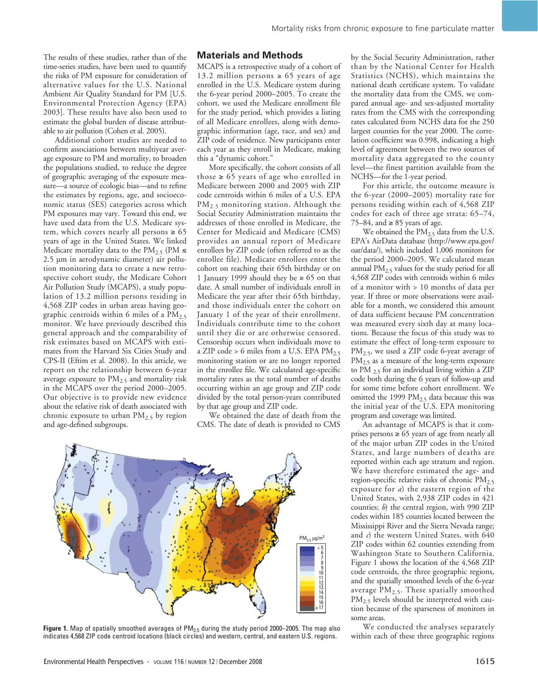The results of these studies, rather than of the time-series studies, have been used to quantify the risks of PM exposure for consideration of alternative values for the U.S. National Ambient Air Quality Standard for PM [U.S. Environmental Protection Agency (EPA) 2003]. These results have also been used to estimate the global burden of disease attributable to air pollution (Cohen et al. 2005).

Additional cohort studies are needed to confirm associations between multiyear average exposure to PM and mortality, to broaden the populations studied, to reduce the degree of geographic averaging of the exposure measure—a source of ecologic bias—and to refine the estimates by regions, age, and socioeconomic status (SES) categories across which PM exposures may vary. Toward this end, we have used data from the U.S. Medicare system, which covers nearly all persons  $\geq 65$ years of age in the United States. We linked Medicare mortality data to the PM<sub>2.5</sub> (PM  $\leq$ 2.5 µm in aerodynamic diameter) air pollution monitoring data to create a new retrospective cohort study, the Medicare Cohort Air Pollution Study (MCAPS), a study population of 13.2 million persons residing in 4,568 ZIP codes in urban areas having geographic centroids within 6 miles of a  $\overline{PM}_{2.5}$ monitor. We have previously described this general approach and the comparability of risk estimates based on MCAPS with estimates from the Harvard Six Cities Study and CPS-II (Eftim et al. 2008). In this article, we report on the relationship between 6-year average exposure to  $PM_{2.5}$  and mortality risk in the MCAPS over the period 2000–2005. Our objective is to provide new evidence about the relative risk of death associated with chronic exposure to urban  $PM<sub>2.5</sub>$  by region and age-defined subgroups.

## **Materials and Methods**

MCAPS is a retrospective study of a cohort of 13.2 million persons ≥ 65 years of age enrolled in the U.S. Medicare system during the 6-year period 2000–2005. To create the cohort, we used the Medicare enrollment file for the study period, which provides a listing of all Medicare enrollees, along with demographic information (age, race, and sex) and ZIP code of residence. New participants enter each year as they enroll in Medicare, making this a "dynamic cohort."

More specifically, the cohort consists of all those  $\ge 65$  years of age who enrolled in Medicare between 2000 and 2005 with ZIP code centroids within 6 miles of a U.S. EPA PM<sub>2.5</sub> monitoring station. Although the Social Security Administration maintains the addresses of those enrolled in Medicare, the Center for Medicaid and Medicare (CMS) provides an annual report of Medicare enrollees by ZIP code (often referred to as the enrollee file). Medicare enrollees enter the cohort on reaching their 65th birthday or on 1 January 1999 should they be  $\geq 65$  on that date. A small number of individuals enroll in Medicare the year after their 65th birthday, and those individuals enter the cohort on January 1 of the year of their enrollment. Individuals contribute time to the cohort until they die or are otherwise censored. Censorship occurs when individuals move to a ZIP code > 6 miles from a U.S. EPA  $PM<sub>2.5</sub>$ monitoring station or are no longer reported in the enrollee file. We calculated age-specific mortality rates as the total number of deaths occurring within an age group and ZIP code divided by the total person-years contributed by that age group and ZIP code.

We obtained the date of death from the CMS. The date of death is provided to CMS



Figure 1. Map of spatially smoothed averages of PM<sub>2.5</sub> during the study period 2000–2005. The map also indicates 4,568 ZIP code centroid locations (black circles) and western, central, and eastern U.S. regions.

by the Social Security Administration, rather than by the National Center for Health Statistics (NCHS), which maintains the national death certificate system. To validate the mortality data from the CMS, we compared annual age- and sex-adjusted mortality rates from the CMS with the corresponding rates calculated from NCHS data for the 250 largest counties for the year 2000. The correlation coefficient was 0.998, indicating a high level of agreement between the two sources of mortality data aggregated to the county level—the finest partition available from the NCHS—for the 1-year period.

For this article, the outcome measure is the 6-year (2000–2005) mortality rate for persons residing within each of 4,568 ZIP codes for each of three age strata: 65–74, 75–84, and ≥ 85 years of age.

We obtained the  $PM_{2.5}$  data from the U.S. EPA's AirData database (http://www.epa.gov/ oar/data/), which included 1,006 monitors for the period 2000–2005. We calculated mean annual  $PM<sub>2.5</sub>$  values for the study period for all 4,568 ZIP codes with centroids within 6 miles of a monitor with > 10 months of data per year. If three or more observations were available for a month, we considered this amount of data sufficient because PM concentration was measured every sixth day at many locations. Because the focus of this study was to estimate the effect of long-term exposure to PM<sub>2.5</sub>, we used a ZIP code 6-year average of  $PM_{2.5}$  as a measure of the long-term exposure to PM  $_2$ 5 for an individual living within a ZIP code both during the 6 years of follow-up and for some time before cohort enrollment. We omitted the 1999 PM<sub>2.5</sub> data because this was the initial year of the U.S. EPA monitoring program and coverage was limited.

An advantage of MCAPS is that it comprises persons  $≥ 65$  years of age from nearly all of the major urban ZIP codes in the United States, and large numbers of deaths are reported within each age stratum and region. We have therefore estimated the age- and region-specific relative risks of chronic PM<sub>2.5</sub> exposure for *a*) the eastern region of the United States, with 2,938 ZIP codes in 421 counties; *b*) the central region, with 990 ZIP codes within 185 counties located between the Mississippi River and the Sierra Nevada range; and *c*) the western United States, with 640 ZIP codes within 62 counties extending from Washington State to Southern California. Figure 1 shows the location of the 4,568 ZIP code centroids, the three geographic regions, and the spatially smoothed levels of the 6-year average  $PM_{2.5}$ . These spatially smoothed PM<sub>2.5</sub> levels should be interpreted with caution because of the sparseness of monitors in some areas.

We conducted the analyses separately within each of these three geographic regions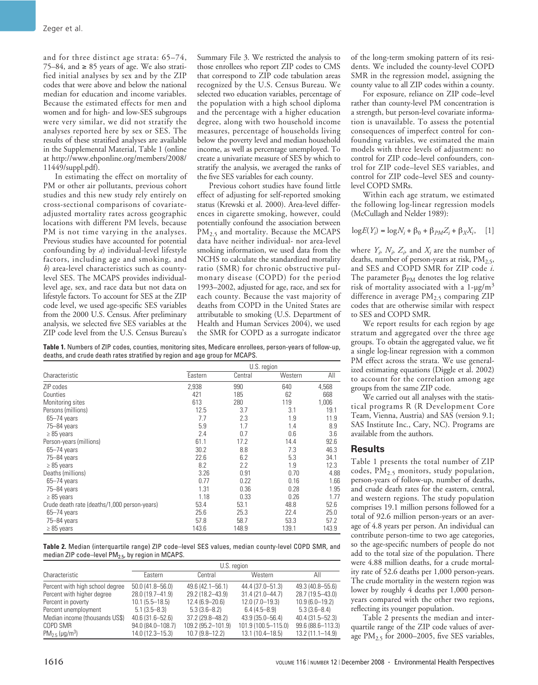and for three distinct age strata: 65–74, 75–84, and  $\geq 85$  years of age. We also stratified initial analyses by sex and by the ZIP codes that were above and below the national median for education and income variables. Because the estimated effects for men and women and for high- and low-SES subgroups were very similar, we did not stratify the analyses reported here by sex or SES. The results of these stratified analyses are available in the Supplemental Material, Table 1 (online at http://www.ehponline.org/members/2008/ 11449/suppl.pdf).

In estimating the effect on mortality of PM or other air pollutants, previous cohort studies and this new study rely entirely on cross-sectional comparisons of covariateadjusted mortality rates across geographic locations with different PM levels, because PM is not time varying in the analyses. Previous studies have accounted for potential confounding by *a*) individual-level lifestyle factors, including age and smoking, and *b*) area-level characteristics such as countylevel SES. The MCAPS provides individuallevel age, sex, and race data but not data on lifestyle factors. To account for SES at the ZIP code level, we used age-specific SES variables from the 2000 U.S. Census. After preliminary analysis, we selected five SES variables at the ZIP code level from the U.S. Census Bureau's Summary File 3. We restricted the analysis to those enrollees who report ZIP codes to CMS that correspond to ZIP code tabulation areas recognized by the U.S. Census Bureau. We selected two education variables, percentage of the population with a high school diploma and the percentage with a higher education degree, along with two household income measures, percentage of households living below the poverty level and median household income, as well as percentage unemployed. To create a univariate measure of SES by which to stratify the analysis, we averaged the ranks of the five SES variables for each county.

Previous cohort studies have found little effect of adjusting for self-reported smoking status (Krewski et al. 2000). Area-level differences in cigarette smoking, however, could potentially confound the association between  $PM_{2.5}$  and mortality. Because the MCAPS data have neither individual- nor area-level smoking information, we used data from the NCHS to calculate the standardized mortality ratio (SMR) for chronic obstructive pulmonary disease (COPD) for the period 1993–2002, adjusted for age, race, and sex for each county. Because the vast majority of deaths from COPD in the United States are attributable to smoking (U.S. Department of Health and Human Services 2004), we used the SMR for COPD as a surrogate indicator

**Table 1.** Numbers of ZIP codes, counties, monitoring sites, Medicare enrollees, person-years of follow-up, deaths, and crude death rates stratified by region and age group for MCAPS.

|                                              | U.S. region |         |         |       |
|----------------------------------------------|-------------|---------|---------|-------|
| Characteristic                               | Eastern     | Central | Western | All   |
| ZIP codes                                    | 2,938       | 990     | 640     | 4,568 |
| Counties                                     | 421         | 185     | 62      | 668   |
| Monitoring sites                             | 613         | 280     | 119     | 1,006 |
| Persons (millions)                           | 12.5        | 3.7     | 3.1     | 19.1  |
| $65 - 74$ years                              | 7.7         | 2.3     | 1.9     | 11.9  |
| 75-84 years                                  | 5.9         | 1.7     | 1.4     | 8.9   |
| $\geq 85$ years                              | 2.4         | 0.7     | 0.6     | 3.6   |
| Person-years (millions)                      | 61.1        | 17.2    | 14.4    | 92.6  |
| $65 - 74$ years                              | 30.2        | 8.8     | 7.3     | 46.3  |
| 75-84 years                                  | 22.6        | 6.2     | 5.3     | 34.1  |
| $\geq 85$ years                              | 8.2         | 2.2     | 1.9     | 12.3  |
| Deaths (millions)                            | 3.26        | 0.91    | 0.70    | 4.88  |
| $65 - 74$ years                              | 0.77        | 0.22    | 0.16    | 1.66  |
| 75-84 years                                  | 1.31        | 0.36    | 0.28    | 1.95  |
| $\geq 85$ years                              | 1.18        | 0.33    | 0.26    | 1.77  |
| Crude death rate (deaths/1,000 person-years) | 53.4        | 53.1    | 48.8    | 52.6  |
| $65 - 74$ years                              | 25.6        | 25.3    | 22.4    | 25.0  |
| 75-84 years                                  | 57.8        | 58.7    | 53.3    | 57.2  |
| $\geq 85$ years                              | 143.6       | 148.9   | 139.1   | 143.9 |

**Table 2.** Median (interquartile range) ZIP code–level SES values, median county-level COPD SMR, and median ZIP code–level  $PM<sub>2.5</sub>$ , by region in MCAPS.

|                                 | U.S. region         |                    |                     |                   |
|---------------------------------|---------------------|--------------------|---------------------|-------------------|
| Characteristic                  | Eastern             | Central            | Western             | All               |
| Percent with high school degree | $50.0(41.8 - 56.0)$ | 49.6 (42.1-56.1)   | 44.4 (37.0-51.3)    | 49.3 (40.8-55.6)  |
| Percent with higher degree      | 28.0 (19.7-41.9)    | 29.2 (18.2-43.9)   | $31.4(21.0 - 44.7)$ | 28.7 (19.5-43.0)  |
| Percent in poverty              | $10.1 (5.5 - 18.5)$ | $12.4(6.9 - 20.6)$ | $12.0(7.0-19.3)$    | $10.9(6.0-19.2)$  |
| Percent unemployment            | $5.1(3.5 - 8.3)$    | $5.3(3.6 - 8.2)$   | $6.4(4.5 - 8.9)$    | $5.3(3.6 - 8.4)$  |
| Median income (thousands US\$)  | 40.6 (31.6-52.6)    | 37.2 (29.8-48.2)   | 43.9 (35.0-56.4)    | 40.4 (31.5-52.3)  |
| COPD SMR                        | 94.0 (84.0-108.7)   | 109.2 (95.2-101.9) | 101.9 (100.5-115.0) | 99.6 (88.6-113.3) |
| $PM_2 = (\mu q/m^3)$            | 14.0 (12.3-15.3)    | $10.7(9.8 - 12.2)$ | 13.1 (10.4-18.5)    | 13.2 (11.1-14.9)  |

of the long-term smoking pattern of its residents. We included the county-level COPD SMR in the regression model, assigning the county value to all ZIP codes within a county.

For exposure, reliance on ZIP code–level rather than county-level PM concentration is a strength, but person-level covariate information is unavailable. To assess the potential consequences of imperfect control for confounding variables, we estimated the main models with three levels of adjustment: no control for ZIP code–level confounders, control for ZIP code–level SES variables, and control for ZIP code–level SES and countylevel COPD SMRs.

Within each age stratum, we estimated the following log-linear regression models (McCullagh and Nelder 1989):

$$
\log E(Y_i) = \log N_i + \beta_0 + \beta_{PM} Z_i + \beta_X X_i, \quad [1]
$$

where  $Y_i$ ,  $N_i$ ,  $Z_i$ , and  $X_i$  are the number of deaths, number of person-years at risk, PM<sub>2.5</sub>, and SES and COPD SMR for ZIP code *i*. The parameter  $\beta_{PM}$  denotes the log relative risk of mortality associated with a  $1-\mu g/m^3$ difference in average  $PM_{2.5}$  comparing ZIP codes that are otherwise similar with respect to SES and COPD SMR.

We report results for each region by age stratum and aggregated over the three age groups. To obtain the aggregated value, we fit a single log-linear regression with a common PM effect across the strata. We use generalized estimating equations (Diggle et al. 2002) to account for the correlation among age groups from the same ZIP code.

We carried out all analyses with the statistical programs R (R Development Core Team, Vienna, Austria) and SAS (version 9.1; SAS Institute Inc., Cary, NC). Programs are available from the authors.

## **Results**

Table 1 presents the total number of ZIP codes, PM<sub>2.5</sub> monitors, study population, person-years of follow-up, number of deaths, and crude death rates for the eastern, central, and western regions. The study population comprises 19.1 million persons followed for a total of 92.6 million person-years or an average of 4.8 years per person. An individual can contribute person-time to two age categories, so the age-specific numbers of people do not add to the total size of the population. There were 4.88 million deaths, for a crude mortality rate of 52.6 deaths per 1,000 person-years. The crude mortality in the western region was lower by roughly 4 deaths per 1,000 personyears compared with the other two regions, reflecting its younger population.

Table 2 presents the median and interquartile range of the ZIP code values of average  $PM_{2.5}$  for 2000–2005, five SES variables,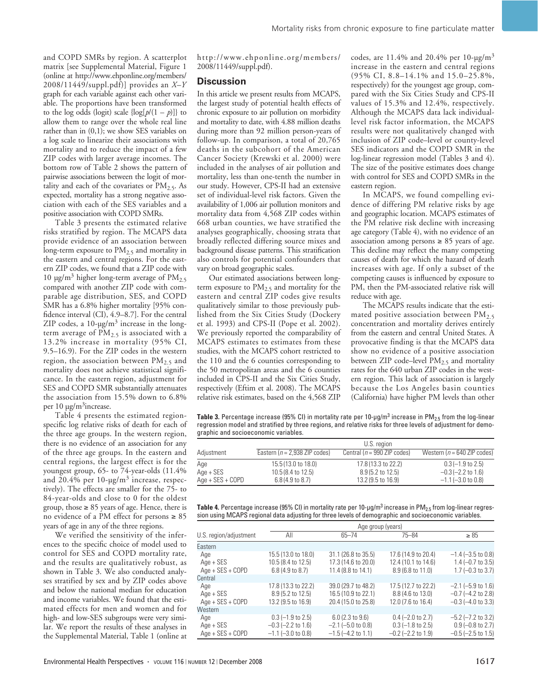and COPD SMRs by region. A scatterplot matrix [see Supplemental Material, Figure 1 (online at http://www.ehponline.org/members/ 2008/11449/suppl.pdf)] provides an *X–Y* graph for each variable against each other variable. The proportions have been transformed to the log odds (logit) scale  $\{\log[p/(1-p)]\}$  to allow them to range over the whole real line rather than in (0,1); we show SES variables on a log scale to linearize their associations with mortality and to reduce the impact of a few ZIP codes with larger average incomes. The bottom row of Table 2 shows the pattern of pairwise associations between the logit of mortality and each of the covariates or  $PM<sub>2.5</sub>$ . As expected, mortality has a strong negative association with each of the SES variables and a positive association with COPD SMRs.

Table 3 presents the estimated relative risks stratified by region. The MCAPS data provide evidence of an association between long-term exposure to  $PM<sub>2.5</sub>$  and mortality in the eastern and central regions. For the eastern ZIP codes, we found that a ZIP code with 10  $\mu$ g/m<sup>3</sup> higher long-term average of PM<sub>2.5</sub> compared with another ZIP code with comparable age distribution, SES, and COPD SMR has a 6.8% higher mortality [95% confidence interval (CI), 4.9–8.7]. For the central ZIP codes, a  $10$ -µg/m<sup>3</sup> increase in the longterm average of  $PM_{2.5}$  is associated with a 13.2% increase in mortality (95% CI, 9.5–16.9). For the ZIP codes in the western region, the association between  $PM_{2.5}$  and mortality does not achieve statistical significance. In the eastern region, adjustment for SES and COPD SMR substantially attenuates the association from 15.5% down to 6.8% per  $10 \mu g/m^3$  increase.

Table 4 presents the estimated regionspecific log relative risks of death for each of the three age groups. In the western region, there is no evidence of an association for any of the three age groups. In the eastern and central regions, the largest effect is for the youngest group, 65- to 74-year-olds (11.4% and 20.4% per 10-µg/m<sup>3</sup> increase, respectively). The effects are smaller for the 75- to 84-year-olds and close to 0 for the oldest group, those  $\geq 85$  years of age. Hence, there is no evidence of a PM effect for persons ≥ 85 years of age in any of the three regions.

We verified the sensitivity of the inferences to the specific choice of model used to control for SES and COPD mortality rate, and the results are qualitatively robust, as shown in Table 3. We also conducted analyses stratified by sex and by ZIP codes above and below the national median for education and income variables. We found that the estimated effects for men and women and for high- and low-SES subgroups were very similar. We report the results of these analyses in the Supplemental Material, Table 1 (online at

http://www.ehponline.org/members/ 2008/11449/suppl.pdf).

#### **Discussion**

In this article we present results from MCAPS, the largest study of potential health effects of chronic exposure to air pollution on morbidity and mortality to date, with 4.88 million deaths during more than 92 million person-years of follow-up. In comparison, a total of 20,765 deaths in the subcohort of the American Cancer Society (Krewski et al. 2000) were included in the analyses of air pollution and mortality, less than one-tenth the number in our study. However, CPS-II had an extensive set of individual-level risk factors. Given the availability of 1,006 air pollution monitors and mortality data from 4,568 ZIP codes within 668 urban counties, we have stratified the analyses geographically, choosing strata that broadly reflected differing source mixes and background disease patterns. This stratification also controls for potential confounders that vary on broad geographic scales.

Our estimated associations between longterm exposure to  $PM<sub>2.5</sub>$  and mortality for the eastern and central ZIP codes give results qualitatively similar to those previously published from the Six Cities Study (Dockery et al. 1993) and CPS-II (Pope et al. 2002). We previously reported the comparability of MCAPS estimates to estimates from these studies, with the MCAPS cohort restricted to the 110 and the 6 counties corresponding to the 50 metropolitan areas and the 6 counties included in CPS-II and the Six Cities Study, respectively (Eftim et al. 2008). The MCAPS relative risk estimates, based on the 4,568 ZIP codes, are  $11.4\%$  and  $20.4\%$  per  $10$ -µg/m<sup>3</sup> increase in the eastern and central regions (95% CI, 8.8–14.1% and 15.0–25.8%, respectively) for the youngest age group, compared with the Six Cities Study and CPS-II values of 15.3% and 12.4%, respectively. Although the MCAPS data lack individuallevel risk factor information, the MCAPS results were not qualitatively changed with inclusion of ZIP code–level or county-level SES indicators and the COPD SMR in the log-linear regression model (Tables 3 and 4). The size of the positive estimates does change with control for SES and COPD SMRs in the eastern region.

In MCAPS, we found compelling evidence of differing PM relative risks by age and geographic location. MCAPS estimates of the PM relative risk decline with increasing age category (Table 4), with no evidence of an association among persons  $\geq 85$  years of age. This decline may reflect the many competing causes of death for which the hazard of death increases with age. If only a subset of the competing causes is influenced by exposure to PM, then the PM-associated relative risk will reduce with age.

The MCAPS results indicate that the estimated positive association between  $PM_{2,5}$ concentration and mortality derives entirely from the eastern and central United States. A provocative finding is that the MCAPS data show no evidence of a positive association between ZIP code–level  $PM_{2.5}$  and mortality rates for the 640 urban ZIP codes in the western region. This lack of association is largely because the Los Angeles basin counties (California) have higher PM levels than other

**Table 3.** Percentage increase (95% CI) in mortality rate per 10-μg/m<sup>3</sup> increase in PM<sub>2.5</sub> from the log-linear regression model and stratified by three regions, and relative risks for three levels of adjustment for demographic and socioeconomic variables.

|                    | U.S. region                      |                                |                                |  |
|--------------------|----------------------------------|--------------------------------|--------------------------------|--|
| Adjustment         | Eastern ( $n = 2,938$ ZIP codes) | Central ( $n = 990$ ZIP codes) | Western ( $n = 640$ ZIP codes) |  |
| Age                | 15.5 (13.0 to 18.0)              | 17.8 (13.3 to 22.2)            | $0.3(-1.9 \text{ to } 2.5)$    |  |
| Age + SES          | $10.5(8.4 \text{ to } 12.5)$     | $8.9(5.2 \text{ to } 12.5)$    | $-0.3$ (-2.2 to 1.6)           |  |
| $Age + SES + COPD$ | $6.8(4.9 \text{ to } 8.7)$       | 13.2 (9.5 to 16.9)             | $-1.1$ (-3.0 to 0.8)           |  |

| <b>Table 4.</b> Percentage increase (95% CI) in mortality rate per 10-µg/m <sup>3</sup> increase in PM <sub>2.5</sub> from log-linear regres- |
|-----------------------------------------------------------------------------------------------------------------------------------------------|
| sion using MCAPS regional data adjusting for three levels of demographic and socioeconomic variables.                                         |

|                                        | Age group (years)                                                       |                                                                             |                                                                       |                                                                               |
|----------------------------------------|-------------------------------------------------------------------------|-----------------------------------------------------------------------------|-----------------------------------------------------------------------|-------------------------------------------------------------------------------|
| U.S. region/adjustment                 | All                                                                     | $65 - 74$                                                                   | $75 - 84$                                                             | $\geq 85$                                                                     |
| Eastern                                |                                                                         |                                                                             |                                                                       |                                                                               |
| Age<br>Age + SES<br>Age + SES + COPD   | 15.5 (13.0 to 18.0)<br>10.5 (8.4 to 12.5)<br>6.8 (4.9 to 8.7)           | 31.1 (26.8 to 35.5)<br>17.3 (14.6 to 20.0)<br>11.4 (8.8 to 14.1)            | 17.6 (14.9 to 20.4)<br>12.4 (10.1 to 14.6)<br>8.9 (6.8 to 11.0)       | $-1.4$ ( $-3.5$ to 0.8)<br>$1.4 (-0.7)$ to 3.5)<br>$1.7$ (-0.3 to 3.7)        |
| Central                                |                                                                         |                                                                             |                                                                       |                                                                               |
| Age<br>Age + SES<br>Age + SES + COPD   | 17.8 (13.3 to 22.2)<br>8.9 (5.2 to 12.5)<br>13.2 (9.5 to 16.9)          | 39.0 (29.7 to 48.2)<br>16.5 (10.9 to 22.1)<br>20.4 (15.0 to 25.8)           | 17.5 (12.7 to 22.2)<br>8.8 (4.6 to 13.0)<br>12.0 (7.6 to 16.4)        | $-2.1$ ( $-5.9$ to 1.6)<br>$-0.7$ ( $-4.2$ to 2.8)<br>$-0.3$ ( $-4.0$ to 3.3) |
| Western                                |                                                                         |                                                                             |                                                                       |                                                                               |
| Age<br>$Age + SES$<br>Age + SES + COPD | $0.3$ (-1.9 to 2.5)<br>$-0.3$ $(-2.2$ to 1.6)<br>$-1.1$ $(-3.0$ to 0.8) | $6.0(2.3)$ to $9.6$ )<br>$-2.1$ ( $-5.0$ to 0.8)<br>$-1.5$ ( $-4.2$ to 1.1) | $0.4 (-2.0 to 2.7)$<br>$0.3$ (-1.8 to 2.5)<br>$-0.2$ ( $-2.2$ to 1.9) | $-5.2$ ( $-7.2$ to 3.2)<br>$0.9$ (-0.8 to 2.7)<br>$-0.5$ ( $-2.5$ to 1.5)     |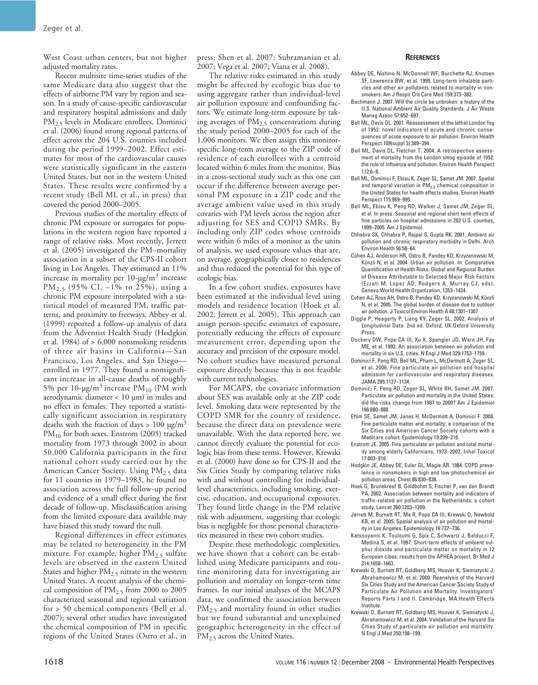West Coast urban centers, but not higher adjusted mortality rates.

Recent multisite time-series studies of the same Medicare data also suggest that the effects of airborne PM vary by region and season. In a study of cause-specific cardiovascular and respiratory hospital admissions and daily PM<sub>2.5</sub> levels in Medicare enrollees, Dominici et al. (2006) found strong regional patterns of effect across the 204 U.S. counties included during the period 1999–2002. Effect estimates for most of the cardiovascular causes were statistically significant in the eastern United States, but not in the western United States. These results were confirmed by a recent study (Bell ML et al., in press) that covered the period 2000–2005.

Previous studies of the mortality effects of chronic PM exposure or surrogates for populations in the western region have reported a range of relative risks. Most recently, Jerrett et al. (2005) investigated the PM–mortality association in a subset of the CPS-II cohort living in Los Angeles. They estimated an 11% increase in mortality per 10-µg/m<sup>3</sup> increase PM<sub>2.5</sub> (95% CI,  $-1\%$  to 25%), using a chronic PM exposure interpolated with a statistical model of measured PM, traffic patterns, and proximity to freeways. Abbey et al. (1999) reported a follow-up analysis of data from the Adventist Health Study (Hodgkin et al. 1984) of > 6,000 nonsmoking residents of three air basins in California—San Francisco, Los Angeles, and San Diego enrolled in 1977. They found a nonsignificant increase in all-cause deaths of roughly 5% per 10-µg/m<sup>3</sup> increase  $PM_{10}$  (PM with aerodynamic diameter < 10 µm) in males and no effect in females. They reported a statistically significant association in respiratory deaths with the fraction of days > 100  $\mu$ g/m<sup>3</sup> PM<sub>10</sub> for both sexes. Enstrom (2005) tracked mortality from 1973 through 2002 in about 50,000 California participants in the first national cohort study carried out by the American Cancer Society. Using PM<sub>2.5</sub> data for 11 counties in 1979–1983, he found no association across the full follow-up period and evidence of a small effect during the first decade of follow-up. Misclassification arising from the limited exposure data available may have biased this study toward the null.

Regional differences in effect estimates may be related to heterogeneity in the PM mixture. For example, higher  $PM<sub>2.5</sub>$  sulfate levels are observed in the eastern United States and higher  $PM_{2.5}$  nitrate in the western United States. A recent analysis of the chemical composition of  $PM<sub>2.5</sub>$  from 2000 to 2005 characterized seasonal and regional variation for > 50 chemical components (Bell et al. 2007); several other studies have investigated the chemical composition of PM in specific regions of the United States (Ostro et al., in

press; Shen et al. 2007; Subramanian et al. 2007; Vega et al. 2007; Viana et al. 2008).

The relative risks estimated in this study might be affected by ecologic bias due to using aggregate rather than individual-level air pollution exposure and confounding factors. We estimate long-term exposure by taking averages of  $PM<sub>2.5</sub>$  concentrations during the study period 2000–2005 for each of the 1,006 monitors. We then assign this monitorspecific long-term average to the ZIP code of residence of each enrollees with a centroid located within 6 miles from the monitor. Bias in a cross-sectional study such as this one can occur if the difference between average personal PM exposure in a ZIP code and the average ambient value used in this study covaries with PM levels across the region after adjusting for SES and COPD SMRs. By including only ZIP codes whose centroids were within 6 miles of a monitor as the units of analysis, we used exposure values that are, on average, geographically closer to residences and thus reduced the potential for this type of ecologic bias.

In a few cohort studies, exposures have been estimated at the individual level using models and residence location (Hoek et al. 2002; Jerrett et al. 2005). This approach can assign person-specific estimates of exposure, potentially reducing the effects of exposure measurement error, depending upon the accuracy and precision of the exposure model. No cohort studies have measured personal exposure directly because this is not feasible with current technologies.

For MCAPS, the covariate information about SES was available only at the ZIP code level. Smoking data were represented by the COPD SMR for the county of residence, because the direct data on prevalence were unavailable. With the data reported here, we cannot directly evaluate the potential for ecologic bias from these terms. However, Krewski et al. (2000) have done so for CPS-II and the Six Cities Study by comparing relative risks with and without controlling for individuallevel characteristics, including smoking, exercise, education, and occupational exposures. They found little change in the PM relative risk with adjustment, suggesting that ecologic bias is negligible for those personal characteristics measured in these two cohort studies.

Despite these methodologic complexities, we have shown that a cohort can be established using Medicare participants and routine monitoring data for investigating air pollution and mortality on longer-term time frames. In our initial analyses of the MCAPS data, we confirmed the association between  $PM<sub>2.5</sub>$  and mortality found in other studies but we found substantial and unexplained geographic heterogeneity in the effect of PM<sub>2.5</sub> across the United States.

#### **REFERENCES**

- Abbey DE, Nishino N, McDonnell WF, Burchette RJ, Knutsen SF, Lawrence BW, et al. 1999. Long-term inhalable particles and other air pollutants related to mortality in nonsmokers. Am J Respir Crit Care Med 159:373–382.
- Bachmann J. 2007. Will the circle be unbroken: a history of the U.S. National Ambient Air Quality Standards. J Air Waste Manag Assoc 57:652–697.
- Bell ML, Davis DL. 2001. Reassessment of the lethal London fog of 1952: novel indicators of acute and chronic consequences of acute exposure to air pollution. Environ Health Perspect 109(suppl 3):389–394.
- Bell ML, Davis DL, Fletcher T. 2004. A retrospective assessment of mortality from the London smog episode of 1952: the role of influenza and pollution. Environ Health Perspect 112:6–8.
- Bell ML, Dominici F, Ebisu K, Zeger SL, Samet JM. 2007. Spatial and temporal variation in  $PM_{2.5}$  chemical composition in the United States for health effects studies. Environ Health Perspect 115:989–995.
- Bell ML, Ebisu K, Peng RD, Walker J, Samet JM, Zeger SL, et al. In press. Seasonal and regional short-term effects of fine particles on hospital admissions in 202 U.S. counties, 1999–2005. Am J Epidemiol.
- Chhabra SK, Chhabra P, Rajpal S, Gupta RK. 2001. Ambient air pollution and chronic respiratory morbidity in Delhi. Arch Environ Health 56:58–64.
- Cohen AJ, Anderson HR, Ostro B, Pandey KD, Krzyzanowski M, Künzli N, et al. 2004. Urban air pollution. In: Comparative Quantification of Health Risks. Global and Regional Burden of Disease Attributable to Selected Major Risk Factors (Ezzati M, Lopez AD, Rodgers A, Murray CJ, eds). Geneva:World Health Organization, 1353–1434.
- Cohen AJ, Ross AH, Ostro B, Pandey KD, Krzyzanowski M, Künzli N, et al. 2005. The global burden of disease due to outdoor air pollution. J Toxicol Environ Health A 68:1301–1307.
- Diggle P, Heagerty P, Liang KY, Zeger SL. 2002. Analysis of Longitudinal Data. 2nd ed. Oxford, UK:Oxford University Press.
- Dockery DW, Pope CA III, Xu X, Spengler JD, Ware JH, Fay ME, et al. 1993. An association between air pollution and mortality in six U.S. cities. N Engl J Med 329:1753–1759.
- Dominici F, Peng RD, Bell ML, Pham L, McDermott A, Zeger SL, et al. 2006. Fine particulate air pollution and hospital admission for cardiovascular and respiratory diseases. JAMA 295:1127–1134.
- Dominici F, Peng RD, Zeger SL, White RH, Samet JM. 2007. Particulate air pollution and mortality in the United States: did the risks change from 1987 to 2000? Am J Epidemiol 166:880–888.
- Eftim SE, Samet JM, Janes H, McDermott A, Dominici F. 2008. Fine particulate matter and mortality: a comparison of the Six Cities and American Cancer Society cohorts with a Medicare cohort. Epidemiology 19:209–216.
- Enstrom JE. 2005. Fine particulate air pollution and total mortality among elderly Californians, 1973–2002. Inhal Toxicol 17:803–816.
- Hodgkin JE, Abbey DE, Euler GL, Magie AR. 1984. COPD prevalence in nonsmokers in high and low photochemical air pollution areas. Chest 86:830–838.
- Hoek G, Brunekreef B, Goldbohm S, Fischer P, van den Brandt PA. 2002. Association between mortality and indicators of traffic-related air pollution in the Netherlands: a cohort study. Lancet 360:1203–1209.
- Jerrett M, Burnett RT, Ma R, Pope CA III, Krewski D, Newbold KB, et al. 2005. Spatial analysis of air pollution and mortality in Los Angeles. Epidemiology 16:727–736.
- Katsouyanni K, Touloumi G, Spix C, Schwartz J, Balducci F, Medina S, et al. 1997. Short-term effects of ambient sulphur dioxide and particulate matter on mortality in 12 European cities: results from the APHEA project. Br Med J 314:1658–1663.
- Krewski D, Burnett RT, Goldberg MS, Hoover K, Siemiatycki J, Abrahamowicz M, et al. 2000. Reanalysis of the Harvard Six Cities Study and the American Cancer Society Study of Particulate Air Pollution and Mortality. Investigators' Reports Parts I and II. Cambridge, MA:Health Effects Institute.
- Krewski D, Burnett RT, Goldberg MS, Hoover K, Siemiatycki J, Abrahamowicz M, et al. 2004. Validation of the Harvard Six Cities Study of particulate air pollution and mortality. N Engl J Med 350:198–199.